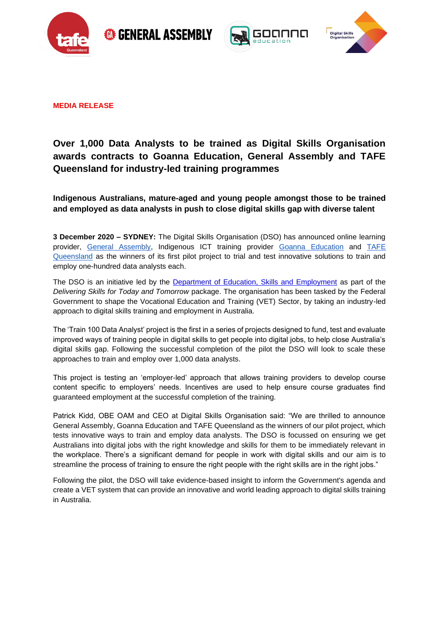

**<b>OB** GENERAL ASSEMBLY





**MEDIA RELEASE**

# **Over 1,000 Data Analysts to be trained as Digital Skills Organisation awards contracts to Goanna Education, General Assembly and TAFE Queensland for industry-led training programmes**

**Indigenous Australians, mature-aged and young people amongst those to be trained and employed as data analysts in push to close digital skills gap with diverse talent**

**3 December 2020 – SYDNEY:** The Digital Skills Organisation (DSO) has announced online learning provider, [General Assembly,](https://generalassemb.ly/) Indigenous ICT training provider [Goanna Education](https://goanna.edu.au/) and [TAFE](https://tafeqld.edu.au/)  [Queensland](https://tafeqld.edu.au/) as the winners of its first pilot project to trial and test innovative solutions to train and employ one-hundred data analysts each.

The DSO is an initiative led by the [Department of Education, Skills and Employment](https://www.dese.gov.au/skills-organisations) as part of the *Delivering Skills for Today and Tomorrow* package. The organisation has been tasked by the Federal Government to shape the Vocational Education and Training (VET) Sector, by taking an industry-led approach to digital skills training and employment in Australia.

The 'Train 100 Data Analyst' project is the first in a series of projects designed to fund, test and evaluate improved ways of training people in digital skills to get people into digital jobs, to help close Australia's digital skills gap. Following the successful completion of the pilot the DSO will look to scale these approaches to train and employ over 1,000 data analysts.

This project is testing an 'employer-led' approach that allows training providers to develop course content specific to employers' needs. Incentives are used to help ensure course graduates find guaranteed employment at the successful completion of the training.

Patrick Kidd, OBE OAM and CEO at Digital Skills Organisation said: "We are thrilled to announce General Assembly, Goanna Education and TAFE Queensland as the winners of our pilot project, which tests innovative ways to train and employ data analysts. The DSO is focussed on ensuring we get Australians into digital jobs with the right knowledge and skills for them to be immediately relevant in the workplace. There's a significant demand for people in work with digital skills and our aim is to streamline the process of training to ensure the right people with the right skills are in the right jobs."

Following the pilot, the DSO will take evidence-based insight to inform the Government's agenda and create a VET system that can provide an innovative and world leading approach to digital skills training in Australia.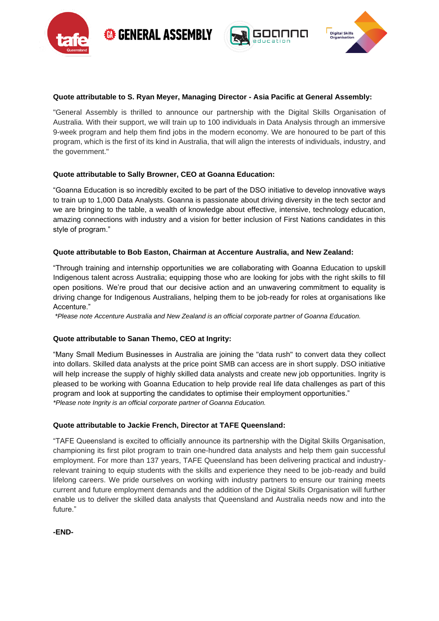





# **Quote attributable to S. Ryan Meyer, Managing Director - Asia Pacific at General Assembly:**

"General Assembly is thrilled to announce our partnership with the Digital Skills Organisation of Australia. With their support, we will train up to 100 individuals in Data Analysis through an immersive 9-week program and help them find jobs in the modern economy. We are honoured to be part of this program, which is the first of its kind in Australia, that will align the interests of individuals, industry, and the government."

# **Quote attributable to Sally Browner, CEO at Goanna Education:**

"Goanna Education is so incredibly excited to be part of the DSO initiative to develop innovative ways to train up to 1,000 Data Analysts. Goanna is passionate about driving diversity in the tech sector and we are bringing to the table, a wealth of knowledge about effective, intensive, technology education, amazing connections with industry and a vision for better inclusion of First Nations candidates in this style of program."

### **Quote attributable to Bob Easton, Chairman at Accenture Australia, and New Zealand:**

"Through training and internship opportunities we are collaborating with Goanna Education to upskill Indigenous talent across Australia; equipping those who are looking for jobs with the right skills to fill open positions. We're proud that our decisive action and an unwavering commitment to equality is driving change for Indigenous Australians, helping them to be job-ready for roles at organisations like Accenture."

*\*Please note Accenture Australia and New Zealand is an official corporate partner of Goanna Education.*

#### **Quote attributable to Sanan Themo, CEO at Ingrity:**

"Many Small Medium Businesses in Australia are joining the "data rush" to convert data they collect into dollars. Skilled data analysts at the price point SMB can access are in short supply. DSO initiative will help increase the supply of highly skilled data analysts and create new job opportunities. Ingrity is pleased to be working with Goanna Education to help provide real life data challenges as part of this program and look at supporting the candidates to optimise their employment opportunities." *\*Please note Ingrity is an official corporate partner of Goanna Education.*

#### **Quote attributable to Jackie French, Director at TAFE Queensland:**

"TAFE Queensland is excited to officially announce its partnership with the Digital Skills Organisation, championing its first pilot program to train one-hundred data analysts and help them gain successful employment. For more than 137 years, TAFE Queensland has been delivering practical and industryrelevant training to equip students with the skills and experience they need to be job-ready and build lifelong careers. We pride ourselves on working with industry partners to ensure our training meets current and future employment demands and the addition of the Digital Skills Organisation will further enable us to deliver the skilled data analysts that Queensland and Australia needs now and into the future."

**-END-**